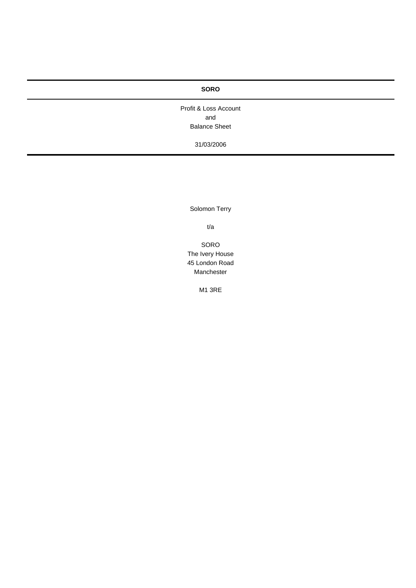Profit & Loss Account and Balance Sheet

31/03/2006

Solomon Terry

t/a

SORO The Ivery House 45 London Road Manchester

M1 3RE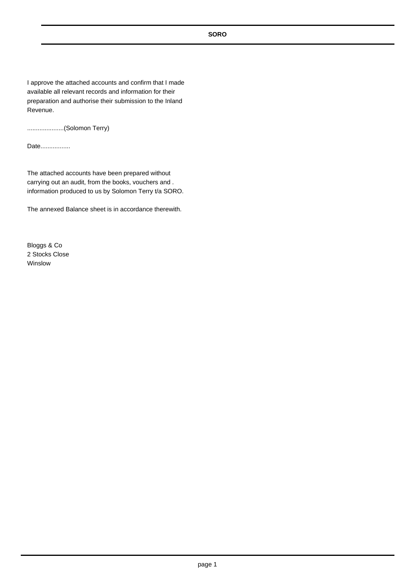I approve the attached accounts and confirm that I made available all relevant records and information for their preparation and authorise their submission to the Inland Revenue.

.....................(Solomon Terry)

Date.................

The attached accounts have been prepared without carrying out an audit, from the books, vouchers and . information produced to us by Solomon Terry t/a SORO.

The annexed Balance sheet is in accordance therewith.

Bloggs & Co 2 Stocks Close Winslow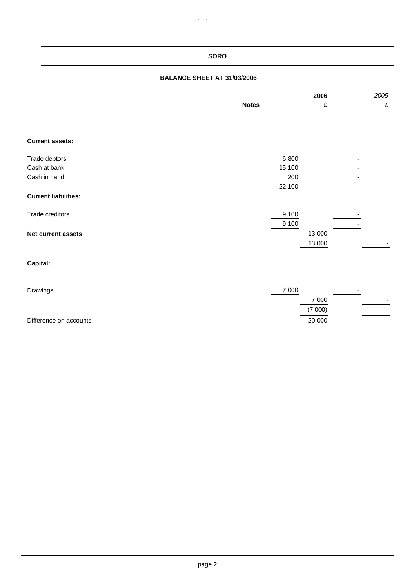# **BALANCE SHEET AT 31/03/2006**

 $\epsilon$ 

|                             | <b>Notes</b>   | 2006<br>£        | 2005<br>£ |
|-----------------------------|----------------|------------------|-----------|
| <b>Current assets:</b>      |                |                  |           |
| Trade debtors               | 6,800          |                  |           |
| Cash at bank                | 15,100         |                  |           |
| Cash in hand                | 200<br>22,100  |                  |           |
| <b>Current liabilities:</b> |                |                  |           |
| Trade creditors             | 9,100<br>9,100 |                  |           |
| Net current assets          |                | 13,000<br>13,000 |           |
| Capital:                    |                |                  |           |
| Drawings                    | 7,000          |                  |           |
|                             |                | 7,000            |           |
|                             |                | (7,000)          |           |

## Difference on accounts **20,000** -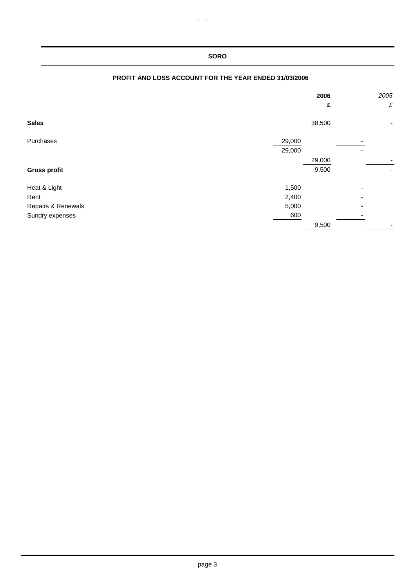|                     |                  | 2006<br>£       |   | 2005<br>£ |
|---------------------|------------------|-----------------|---|-----------|
| <b>Sales</b>        |                  | 38,500          |   | -         |
| Purchases           | 29,000<br>29,000 |                 |   |           |
| <b>Gross profit</b> |                  | 29,000<br>9,500 |   |           |
|                     |                  |                 |   |           |
| Heat & Light        | 1,500            |                 | - |           |
| Rent                | 2,400            |                 |   |           |
| Repairs & Renewals  | 5,000            |                 |   |           |
| Sundry expenses     | 600              |                 |   |           |
|                     |                  | 9,500           |   |           |

# **PROFIT AND LOSS ACCOUNT FOR THE YEAR ENDED 31/03/2006**

 $\hat{p}$  gives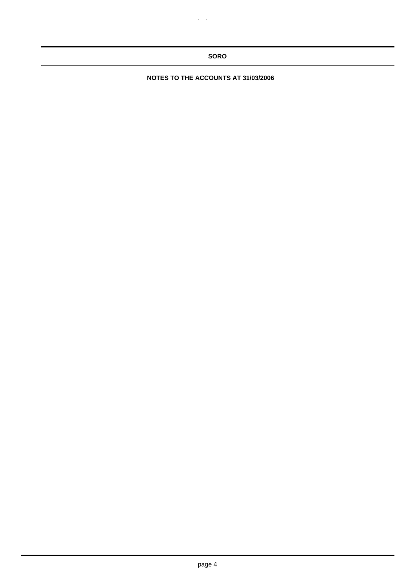**NOTES TO THE ACCOUNTS AT 31/03/2006**

 $\hat{p}$  gives